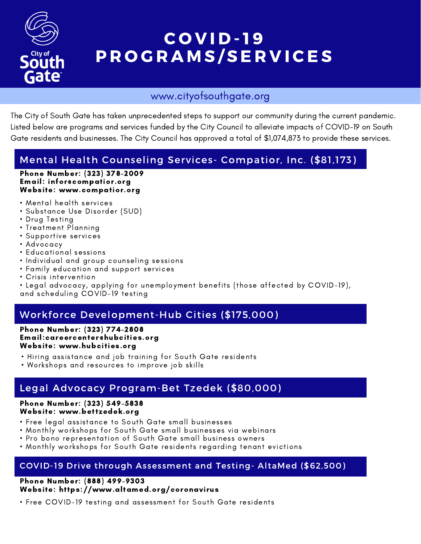

# COVID-19 PROGRAMS/SERVICES

### www.cityofsouthgate.org

The City of South Gate has taken unprecedented steps to support our community during the current pandemic. Listed below are programs and services funded by the City Council to alleviate impacts of COVID-19 on South Gate residents and businesses. The City Council has approved a total of \$1,074,873 to provide these services.

## Mental Health Counseling Services- Compatior, Inc. (\$81,173)

#### Phone Number: (323) 378-2009 Email: infor@compatior.org Website: www.compatior.org

- Mental health services
- Substance Use Disorder (SUD)
- Drug Testing
- Treatment Planning
- Supportive services
- Advocacy
- Educational sessions
- Individual and group counseling sessions
- Family education and support services
- Crisis intervention
- Legal advocacy, applying for unemployment benefits (those affected by COVID-19),

and scheduling COVID-19 testing

### Workforce Development-Hub Cities (\$175,000)

#### Phone Number: (323) 774-2808 Email:careercenter@hubcities.org Website: www.hubcities.org

- Hiring assistance and job training for South Gate residents
- Workshops and resources to improve job skills

### Legal Advocacy Program-Bet Tzedek (\$80,000)

#### Phone Number: (323) 549-5838 Website: www.bettzedek.org

- Free legal assistance to South Gate small businesses
- Monthly workshops for South Gate small businesses via webinars
- Pro bono representation of South Gate small business owners
- Monthly workshops for South Gate residents regarding tenant evictions

#### COVID-19 Drive through Assessment and Testing- AltaMed (\$62,500)

#### Phone Number: (888) 499-9303 Website: https://www.altamed.org/coronavirus

• Free COVID-19 testing and assessment for South Gate residents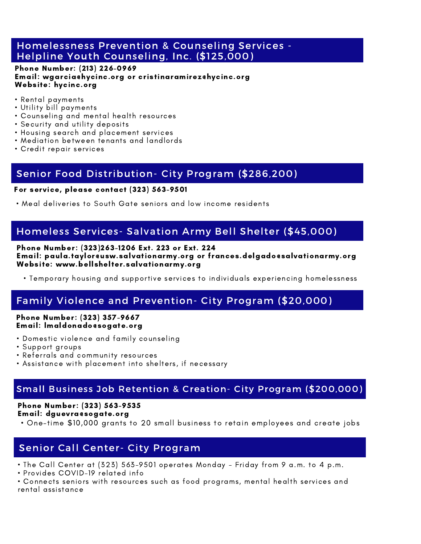#### Homelessness Prevention & Counseling Services - Helpline Youth Counseling, Inc. (\$125,000)

#### Phone Number: (213) 226-0969 Email: wgarcia@hycinc.org or cristinaramirez@hycinc.org Website: hycinc.org

- Rental payments
- Utility bill payments
- Counseling and mental health resources
- Security and utility deposits
- Housing search and placement services
- Mediation between tenants and landlords
- Credit repair services

### Senior Food Distribution- City Program (\$286,200)

#### For service, please contact (323) 563-9501

• Meal deliveries to South Gate seniors and low income residents

### Homeless Services- Salvation Army Bell Shelter (\$45,000)

#### Phone Number: (323)263-1206 Ext. 223 or Ext. 224 Email: paula.taylor@usw.salvationarmy.org or frances.delgado@salvationarmy.org Website: www.bellshelter.salvationarmy.org

• Temporary housing and supportive services to individuals experiencing homelessness

### Family Violence and Prevention- City Program (\$20,000)

#### Phone Number: (323) 357-9667 Email: lmaldonado@sogate.org

- Domestic violence and family counseling
- Support groups
- Referrals and community resources
- Assistance with placement into shelters, if necessary

#### Tempo Small Business Job Retention & Creation- City Program (\$200,000)

#### Phone Number: (323) 563-9535 Email: dguevra@sogate.org

• One-time \$10,000 grants to 20 small business to retain employees and create jobs

### Senior Call Center- City Program

• The Call Center at (323) 563-9501 operates Monday - Friday from 9 a.m. to 4 p.m.

• Provides COVID-19 related info

• Connects seniors with resources such as food programs, mental health services and rental assistance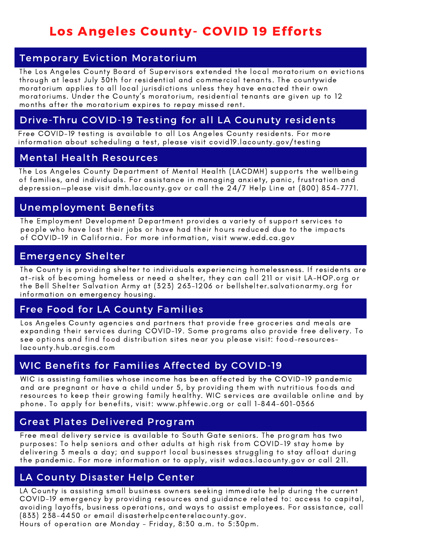# Los Angeles County- COVID 19 Efforts

### Temporary Eviction Moratorium

The Los Angeles County Board of Supervisors extended the local moratorium on evictions through at least July 30th for residential and commercial tenants. The countywide moratorium applies to all local jurisdictions unless they have enacted their own moratoriums. Under the County's moratorium, residential tenants are given up to 12 months after the moratorium expires to repay missed rent.

### Drive-Thru COVID-19 Testing for all LA Counuty residents

Free COVID-19 testing is available to all Los Angeles County residents. For more information about scheduling a test, please visit covid19.lacounty.gov/testing

### Mental Health Resources

The Los Angeles County Department of Mental Health (LACDMH) supports the wellbeing of families, and individuals. For assistance in managing anxiety, panic, frustration and depression—please visit dmh.lacounty.gov or call the 24/7 Help Line at (800) 854-7771.

### Unemployment Benefits

The Employment Development Department provides a variety of support services to people who have lost their jobs or have had their hours reduced due to the impacts of COVID-19 in California. For more information, visit www.edd.ca.gov

### Emergency Shelter

The County is providing shelter to individuals experiencing homelessness. If residents are at-risk of becoming homeless or need a shelter, they can call 211 or visit LA-HOP.org or the Bell Shelter Salvation Army at (323) 263-1206 or bellshelter.salvationarmy.org for information on emergency housing.

#### Free Food for LA County Families

Los Angeles County agencies and partners that provide free groceries and meals are expanding their services during COVID-19. Some programs also provide free delivery. To see options and find food distribution sites near you please visit: food-resourceslacounty.hub.arcgis.com

### WIC Benefits for Families Affected by COVID-19

WIC is assisting families whose income has been affected by the COVID-19 pandemic and are pregnant or have a child under 5, by providing them with nutritious foods and resources to keep their growing family healthy. WIC services are available online and by phone. To apply for benefits, visit: www.phfewic.org or call 1-844-601-0366

### Great Plates Delivered Program

Free meal delivery service is available to South Gate seniors. The program has two purposes: To help seniors and other adults at high risk from COVID-19 stay home by delivering 3 meals a day; and support local businesses struggling to stay afloat during the pandemic. For more information or to apply, visit wdacs.lacounty.gov or call 211.

### LA County Disaster Help Center

LA County is assisting small business owners seeking immediate help during the current COVID-19 emergency by providing resources and guidance related to: access to capital, avoiding layoffs, business operations, and ways to assist employees. For assistance, call (833) 238-4450 or email disasterhelpcenter@lacounty.gov.

Hours of operation are Monday - Friday, 8:30 a.m. to 5:30pm.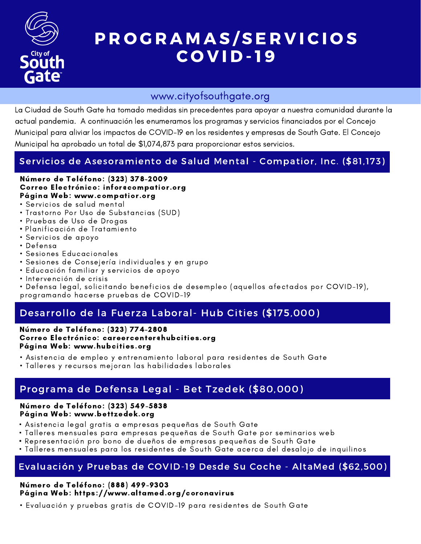

# P R O G R A M A S / S E R V I C I O S C O V I D - 1 9

### www.cityofsouthgate.org

La Ciudad de South Gate ha tomado medidas sin precedentes para apoyar a nuestra comunidad durante la actual pandemia. A continuación les enumeramos los programas y servicios financiados por el Concejo Municipal para aliviar los impactos de COVID-19 en los residentes y empresas de South Gate. El Concejo Municipal ha aprobado un total de \$1,074,873 para proporcionar estos servicios.

### Servicios de Asesoramiento de Salud Mental - Compatior, Inc. (\$81,173)

#### Número de Teléfono: (323) 378-2009 Correo Electrónico: infor@compatior.org Página Web: www.compatior.org

- Servicios de salud mental
- Trastorno Por Uso de Substancias (SUD)
- Pruebas de Uso de Drogas
- Planificación de Tratamiento
- Servicios de apoyo
- Defensa
- Sesiones Educacionales
- Sesiones de Consejería individuales y en grupo
- Educación familiar y servicios de apoyo
- Intervención de crisis
- Defensa legal, solicitando beneficios de desempleo (aquellos afectados por COVID-19), programando hacerse pruebas de COVID-19

### Desarrollo de la Fuerza Laboral- Hub Cities (\$175,000)

Número de Teléfono: (323) 774-2808 Correo Electrónico: careercenter@hubcities.org Página Web: www.hubcities.org

- Asistencia de empleo y entrenamiento laboral para residentes de South Gate
- Talleres y recursos mejoran las habilidades laborales

### Programa de Defensa Legal - Bet Tzedek (\$80,000)

#### Número de Teléfono: (323) 549-5838 Página Web: www.bettzedek.org

- Asistencia legal gratis a empresas pequeñas de South Gate
- Talleres mensuales para empresas pequeñas de South Gate por seminarios web
- Representación pro bono de dueños de empresas pequeñas de South Gate
- Talleres mensuales para los residentes de South Gate acerca del desalojo de inquilinos

### Evaluación y Pruebas de COVID-19 Desde Su Coche - AltaMed (\$62,500)

#### Número de Teléfono: (888) 499-9303 Página Web: https://www.altamed.org/coronavirus

• Evaluación y pruebas gratis de COVID-19 para residentes de South Gate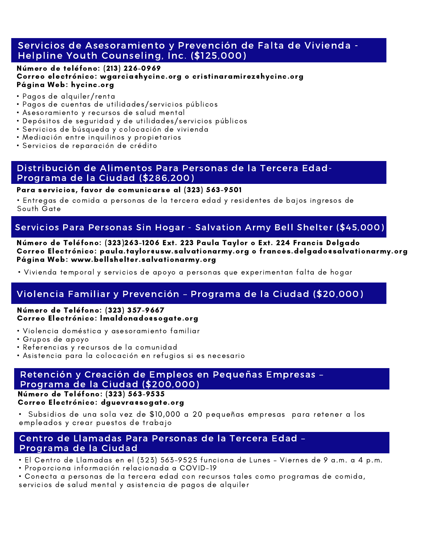#### Servicios de Asesoramiento y Prevención de Falta de Vivienda - Helpline Youth Counseling, Inc. (\$125,000)

#### Número de teléfono: (213) 226-0969 Correo electrónico: wgarcia@hycinc.org o cristinaramirez@hycinc.org Página Web: hycinc.org

- Pagos de alquiler/renta
- Pagos de cuentas de utilidades/servicios públicos
- Asesoramiento y recursos de salud mental
- Depósitos de seguridad y de utilidades/servicios públicos
- Servicios de búsqueda y colocación de vivienda
- Mediación entre inquilinos y propietarios
- Servicios de reparación de crédito

#### Distribución de Alimentos Para Personas de la Tercera Edad-Programa de la Ciudad (\$286,200)

#### Para servicios, favor de comunicarse al (323) 563-9501

• Entregas de comida a personas de la tercera edad y residentes de bajos ingresos de South Gate

#### Servicios Para Personas Sin Hogar - Salvation Army Bell Shelter (\$45,000)

#### Número de Teléfono: (323)263-1206 Ext. 223 Paula Taylor o Ext. 224 Francis Delgado Correo Electrónico: paula.taylor@usw.salvationarmy.org o frances.delgado@salvationarmy.org Página Web: www.bellshelter.salvationarmy.org

• Vivienda temporal y servicios de apoyo a personas que experimentan falta de hogar

### Violencia Familiar y Prevención – Programa de la Ciudad (\$20,000)

#### Número de Teléfono: (323) 357-9667 Correo Electrónico: lmaldonado@sogate.org

- Violencia doméstica y asesoramiento familiar
- Grupos de apoyo
- Referencias y recursos de la comunidad
- Asistencia para la colocación en refugios si es necesario

#### Programa de la Ciudad (\$200,000) Retención y Creación de Empleos en Pequeñas Empresas –

Número de Teléfono: (323) 563-9535

#### Correo Electrónico: dguevra@sogate.org

• Subsidios de una sola vez de \$10,000 a 20 pequeñas empresas para retener a los empleados y crear puestos de trabajo

#### Centro de Llamadas Para Personas de la Tercera Edad – Programa de la Ciudad

- El Centro de Llamadas en el (323) 563-9525 funciona de Lunes Viernes de 9 a.m. a 4 p.m.
- Proporciona información relacionada a COVID-19
- Conecta a personas de la tercera edad con recursos tales como programas de comida,

servicios de salud mental y asistencia de pagos de alquiler